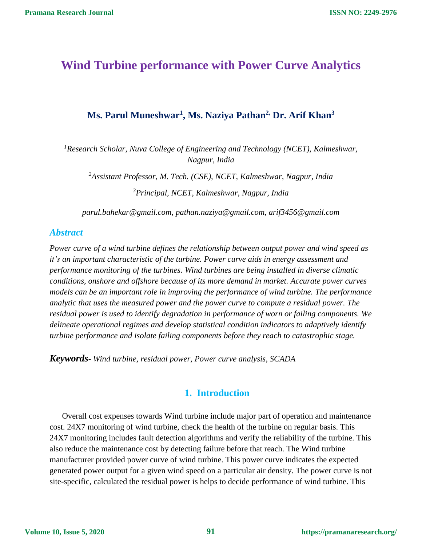# **Wind Turbine performance with Power Curve Analytics**

## **Ms. Parul Muneshwar<sup>1</sup> , Ms. Naziya Pathan2, Dr. Arif Khan<sup>3</sup>**

*<sup>1</sup>Research Scholar, Nuva College of Engineering and Technology (NCET), Kalmeshwar, Nagpur, India*

*<sup>2</sup>Assistant Professor, M. Tech. (CSE), NCET, Kalmeshwar, Nagpur, India <sup>3</sup>Principal, NCET, Kalmeshwar, Nagpur, India*

*parul.bahekar@gmail.com, [pathan.naziya@gmail.com,](mailto:pathan.naziya@gmail.com) [arif3456@gmail.com](mailto:arif3456@gmail.com)*

### *Abstract*

*Power curve of a wind turbine defines the relationship between output power and wind speed as it's an important characteristic of the turbine. Power curve aids in energy assessment and performance monitoring of the turbines. Wind turbines are being installed in diverse climatic conditions, onshore and offshore because of its more demand in market. Accurate power curves models can be an important role in improving the performance of wind turbine. The performance analytic that uses the measured power and the power curve to compute a residual power. The residual power is used to identify degradation in performance of worn or failing components. We delineate operational regimes and develop statistical condition indicators to adaptively identify turbine performance and isolate failing components before they reach to catastrophic stage.* 

*Keywords- Wind turbine, residual power, Power curve analysis, SCADA*

## **1. Introduction**

Overall cost expenses towards Wind turbine include major part of operation and maintenance cost. 24X7 monitoring of wind turbine, check the health of the turbine on regular basis. This 24X7 monitoring includes fault detection algorithms and verify the reliability of the turbine. This also reduce the maintenance cost by detecting failure before that reach. The Wind turbine manufacturer provided power curve of wind turbine. This power curve indicates the expected generated power output for a given wind speed on a particular air density. The power curve is not site-specific, calculated the residual power is helps to decide performance of wind turbine. This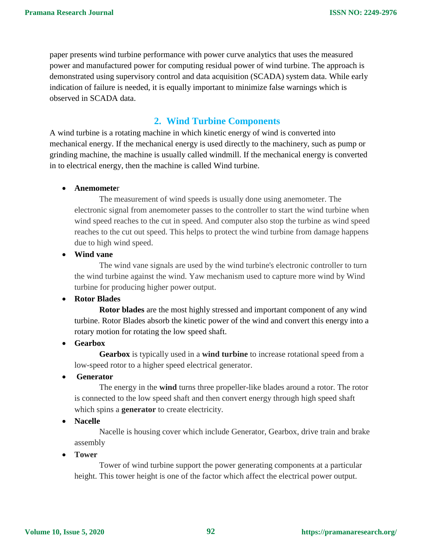paper presents wind turbine performance with power curve analytics that uses the measured power and manufactured power for computing residual power of wind turbine. The approach is demonstrated using supervisory control and data acquisition (SCADA) system data. While early indication of failure is needed, it is equally important to minimize false warnings which is observed in SCADA data.

#### **2. Wind Turbine Components**

A wind turbine is a rotating machine in which kinetic energy of wind is converted into mechanical energy. If the mechanical energy is used directly to the machinery, such as pump or grinding machine, the machine is usually called windmill. If the mechanical energy is converted in to electrical energy, then the machine is called Wind turbine.

#### **Anemomete**r

The measurement of wind speeds is usually done using anemometer. The electronic signal from anemometer passes to the controller to start the wind turbine when wind speed reaches to the cut in speed. And computer also stop the turbine as wind speed reaches to the cut out speed. This helps to protect the wind turbine from damage happens due to high wind speed.

**Wind vane**

The wind vane signals are used by the wind turbine's electronic controller to turn the wind turbine against the wind. Yaw mechanism used to capture more wind by Wind turbine for producing higher power output.

**Rotor Blades**

**Rotor blades** are the most highly stressed and important component of any wind turbine. Rotor Blades absorb the kinetic power of the wind and convert this energy into a rotary motion for rotating the low speed shaft.

**Gearbox**

**Gearbox** is typically used in a **wind turbine** to increase rotational speed from a low-speed rotor to a higher speed electrical generator.

**Generator**

The energy in the **wind** turns three propeller-like blades around a rotor. The rotor is connected to the low speed shaft and then convert energy through high speed shaft which spins a **generator** to create electricity.

**Nacelle**

Nacelle is housing cover which include Generator, Gearbox, drive train and brake assembly

**Tower**

Tower of wind turbine support the power generating components at a particular height. This tower height is one of the factor which affect the electrical power output.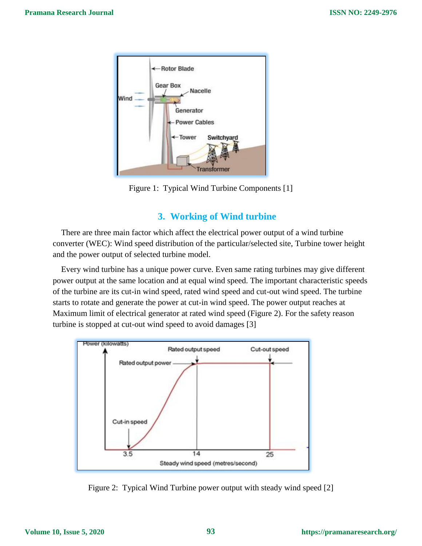

Figure 1: Typical Wind Turbine Components [1]

## **3. Working of Wind turbine**

There are three main factor which affect the electrical power output of a wind turbine converter (WEC): Wind speed distribution of the particular/selected site, Turbine tower height and the power output of selected turbine model.

Every wind turbine has a unique power curve. Even same rating turbines may give different power output at the same location and at equal wind speed. The important characteristic speeds of the turbine are its cut-in wind speed, rated wind speed and cut-out wind speed. The turbine starts to rotate and generate the power at cut-in wind speed. The power output reaches at Maximum limit of electrical generator at rated wind speed (Figure 2). For the safety reason turbine is stopped at cut-out wind speed to avoid damages [3]



Figure 2: Typical Wind Turbine power output with steady wind speed [2]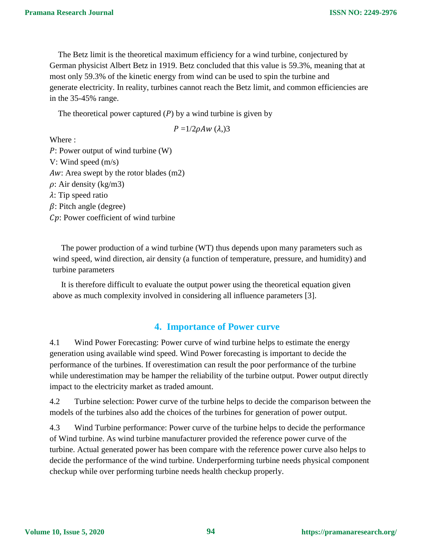The Betz limit is the theoretical maximum [efficiency](https://energyeducation.ca/encyclopedia/Efficiency) for a [wind turbine,](https://energyeducation.ca/encyclopedia/Wind_turbine) conjectured by German physicist Albert Betz in 1919. Betz concluded that this value is 59.3%, meaning that at most only 59.3% of the [kinetic energy](https://energyeducation.ca/encyclopedia/Kinetic_energy) from [wind](https://energyeducation.ca/encyclopedia/Wind) can be used to spin the turbine and generate [electricity.](https://energyeducation.ca/encyclopedia/Electricity) In reality, turbines cannot reach the Betz limit, and common efficiencies are in the 35-45% range.

The theoretical power captured  $(P)$  by a wind turbine is given by

$$
P = 1/2\rho A w \,(\lambda, 3)
$$

Where :

P: Power output of wind turbine (W) V: Wind speed (m/s) Aw: Area swept by the rotor blades (m2)  $\rho$ : Air density (kg/m3)  $\lambda$ : Tip speed ratio  $\beta$ : Pitch angle (degree)

: Power coefficient of wind turbine

The power production of a wind turbine (WT) thus depends upon many parameters such as wind speed, wind direction, air density (a function of temperature, pressure, and humidity) and turbine parameters

It is therefore difficult to evaluate the output power using the theoretical equation given above as much complexity involved in considering all influence parameters [3].

#### **4. Importance of Power curve**

4.1 Wind Power Forecasting: Power curve of wind turbine helps to estimate the energy generation using available wind speed. Wind Power forecasting is important to decide the performance of the turbines. If overestimation can result the poor performance of the turbine while underestimation may be hamper the reliability of the turbine output. Power output directly impact to the electricity market as traded amount.

4.2 Turbine selection: Power curve of the turbine helps to decide the comparison between the models of the turbines also add the choices of the turbines for generation of power output.

4.3 Wind Turbine performance: Power curve of the turbine helps to decide the performance of Wind turbine. As wind turbine manufacturer provided the reference power curve of the turbine. Actual generated power has been compare with the reference power curve also helps to decide the performance of the wind turbine. Underperforming turbine needs physical component checkup while over performing turbine needs health checkup properly.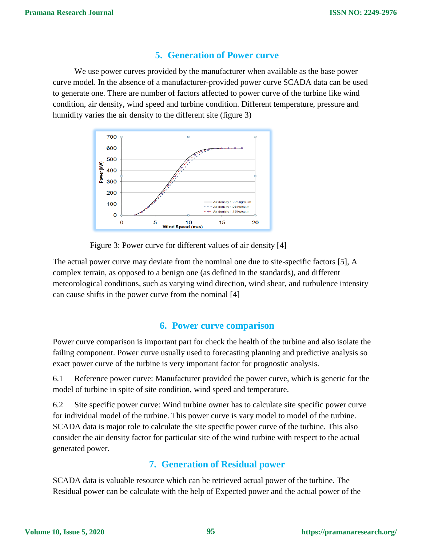#### **5. Generation of Power curve**

We use power curves provided by the manufacturer when available as the base power curve model. In the absence of a manufacturer-provided power curve SCADA data can be used to generate one. There are number of factors affected to power curve of the turbine like wind condition, air density, wind speed and turbine condition. Different temperature, pressure and humidity varies the air density to the different site (figure 3)



Figure 3: Power curve for different values of air density [4]

The actual power curve may deviate from the nominal one due to site-specific factors [5], A complex terrain, as opposed to a benign one (as defined in the standards), and different meteorological conditions, such as varying wind direction, wind shear, and turbulence intensity can cause shifts in the power curve from the nominal [4]

#### **6. Power curve comparison**

Power curve comparison is important part for check the health of the turbine and also isolate the failing component. Power curve usually used to forecasting planning and predictive analysis so exact power curve of the turbine is very important factor for prognostic analysis.

6.1 Reference power curve: Manufacturer provided the power curve, which is generic for the model of turbine in spite of site condition, wind speed and temperature.

6.2 Site specific power curve: Wind turbine owner has to calculate site specific power curve for individual model of the turbine. This power curve is vary model to model of the turbine. SCADA data is major role to calculate the site specific power curve of the turbine. This also consider the air density factor for particular site of the wind turbine with respect to the actual generated power.

## **7. Generation of Residual power**

SCADA data is valuable resource which can be retrieved actual power of the turbine. The Residual power can be calculate with the help of Expected power and the actual power of the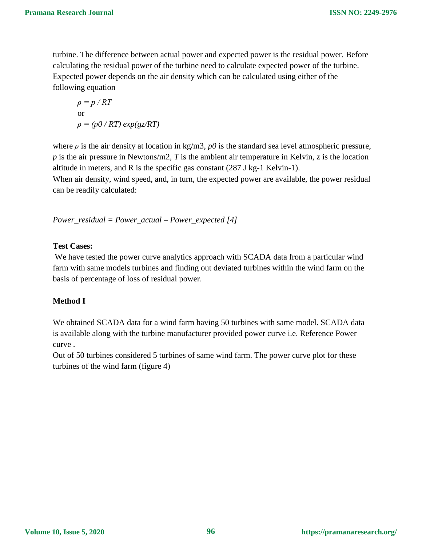turbine. The difference between actual power and expected power is the residual power. Before calculating the residual power of the turbine need to calculate expected power of the turbine. Expected power depends on the air density which can be calculated using either of the following equation

$$
\rho = p / RT
$$
  
or  

$$
\rho = (p0 / RT) exp(gz/RT)
$$

where  $\rho$  is the air density at location in kg/m3,  $p0$  is the standard sea level atmospheric pressure, *p* is the air pressure in Newtons/m2, *T* is the ambient air temperature in Kelvin, z is the location altitude in meters, and R is the specific gas constant (287 J kg-1 Kelvin-1).

When air density, wind speed, and, in turn, the expected power are available, the power residual can be readily calculated:

*Power\_residual = Power\_actual – Power\_expected [4]*

#### **Test Cases:**

We have tested the power curve analytics approach with SCADA data from a particular wind farm with same models turbines and finding out deviated turbines within the wind farm on the basis of percentage of loss of residual power.

#### **Method I**

We obtained SCADA data for a wind farm having 50 turbines with same model. SCADA data is available along with the turbine manufacturer provided power curve i.e. Reference Power curve .

Out of 50 turbines considered 5 turbines of same wind farm. The power curve plot for these turbines of the wind farm (figure 4)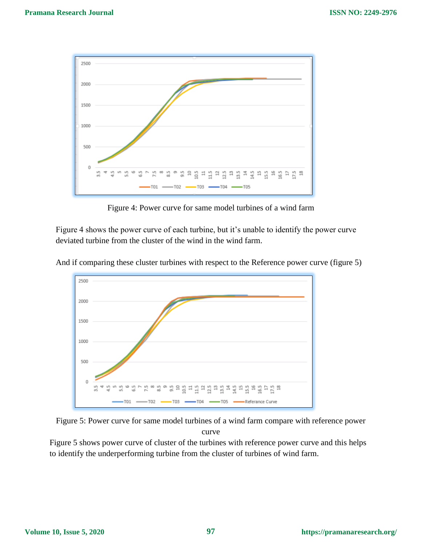

Figure 4: Power curve for same model turbines of a wind farm

Figure 4 shows the power curve of each turbine, but it's unable to identify the power curve deviated turbine from the cluster of the wind in the wind farm.



And if comparing these cluster turbines with respect to the Reference power curve (figure 5)

Figure 5: Power curve for same model turbines of a wind farm compare with reference power curve

Figure 5 shows power curve of cluster of the turbines with reference power curve and this helps to identify the underperforming turbine from the cluster of turbines of wind farm.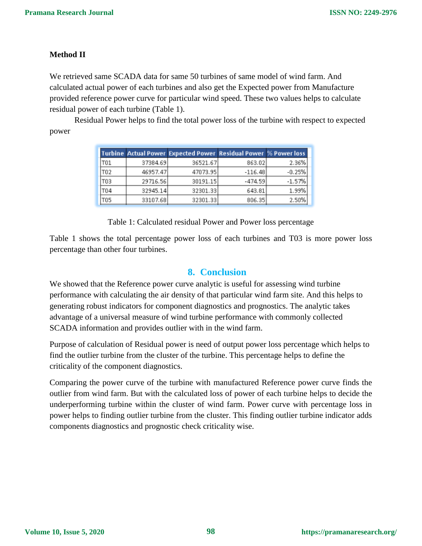#### **Method II**

We retrieved same SCADA data for same 50 turbines of same model of wind farm. And calculated actual power of each turbines and also get the Expected power from Manufacture provided reference power curve for particular wind speed. These two values helps to calculate residual power of each turbine (Table 1).

Residual Power helps to find the total power loss of the turbine with respect to expected power

|     |          | Turbine Actual Power Expected Power Residual Power % Power loss |           |          |
|-----|----------|-----------------------------------------------------------------|-----------|----------|
| T01 | 37384.69 | 36521.67                                                        | 863.02    | 2.36%    |
| T02 | 46957.47 | 47073.95                                                        | $-116.48$ | $-0.25%$ |
| T03 | 29716.56 | 30191.15                                                        | $-474.59$ | $-1.57%$ |
| T04 | 32945.14 | 32301.33                                                        | 643.81    | 1.99%    |
| T05 | 33107.68 | 32301.33                                                        | 806.35    | 2.50%    |

Table 1: Calculated residual Power and Power loss percentage

Table 1 shows the total percentage power loss of each turbines and T03 is more power loss percentage than other four turbines.

#### **8. Conclusion**

We showed that the Reference power curve analytic is useful for assessing wind turbine performance with calculating the air density of that particular wind farm site. And this helps to generating robust indicators for component diagnostics and prognostics. The analytic takes advantage of a universal measure of wind turbine performance with commonly collected SCADA information and provides outlier with in the wind farm.

Purpose of calculation of Residual power is need of output power loss percentage which helps to find the outlier turbine from the cluster of the turbine. This percentage helps to define the criticality of the component diagnostics.

Comparing the power curve of the turbine with manufactured Reference power curve finds the outlier from wind farm. But with the calculated loss of power of each turbine helps to decide the underperforming turbine within the cluster of wind farm. Power curve with percentage loss in power helps to finding outlier turbine from the cluster. This finding outlier turbine indicator adds components diagnostics and prognostic check criticality wise.